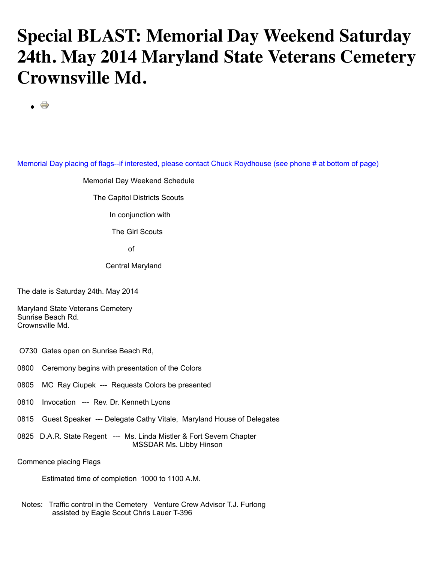## **Special BLAST: Memorial Day Weekend Saturday 24th. May 2014 Maryland State Veterans Cemetery Crownsville Md.**

 $\vec{a}$ 

Memorial Day placing of flags--if interested, please contact Chuck Roydhouse (see phone # at bottom of page)

## Memorial Day Weekend Schedule

The Capitol Districts Scouts

In conjunction with

The Girl Scouts

of the contract of the contract of the contract of the contract of the contract of the contract of the contract of the contract of the contract of the contract of the contract of the contract of the contract of the contrac

Central Maryland

The date is Saturday 24th. May 2014

Maryland State Veterans Cemetery Sunrise Beach Rd. Crownsville Md.

O730 Gates open on Sunrise Beach Rd,

0800 Ceremony begins with presentation of the Colors

- 0805 MC Ray Ciupek --- Requests Colors be presented
- 0810 Invocation --- Rev. Dr. Kenneth Lyons
- 0815 Guest Speaker --- Delegate Cathy Vitale, Maryland House of Delegates
- 0825 D.A.R. State Regent --- Ms. Linda Mistler & Fort Severn Chapter MSSDAR Ms. Libby Hinson

Commence placing Flags

Estimated time of completion 1000 to 1100 A.M.

 Notes: Traffic control in the Cemetery Venture Crew Advisor T.J. Furlong assisted by Eagle Scout Chris Lauer T-396